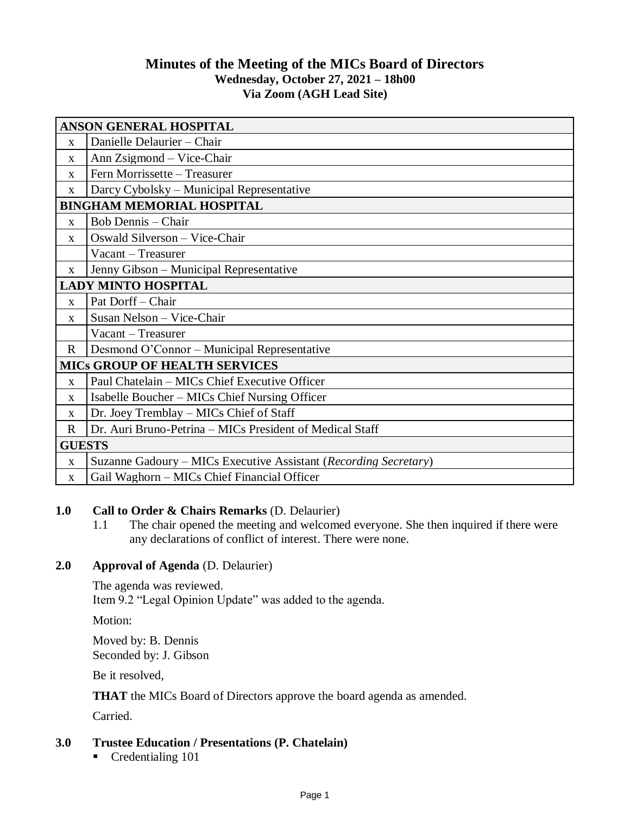# **Minutes of the Meeting of the MICs Board of Directors Wednesday, October 27, 2021 – 18h00 Via Zoom (AGH Lead Site)**

| <b>ANSON GENERAL HOSPITAL</b>        |                                                                  |
|--------------------------------------|------------------------------------------------------------------|
| $\mathbf{X}$                         | Danielle Delaurier - Chair                                       |
| $\mathbf{X}$                         | Ann Zsigmond – Vice-Chair                                        |
| $\mathbf{X}$                         | Fern Morrissette - Treasurer                                     |
| X                                    | Darcy Cybolsky – Municipal Representative                        |
| <b>BINGHAM MEMORIAL HOSPITAL</b>     |                                                                  |
| $\mathbf{x}$                         | <b>Bob Dennis - Chair</b>                                        |
| $\mathbf{x}$                         | Oswald Silverson - Vice-Chair                                    |
|                                      | Vacant – Treasurer                                               |
| $\mathbf{X}$                         | Jenny Gibson - Municipal Representative                          |
| <b>LADY MINTO HOSPITAL</b>           |                                                                  |
| $\mathbf{X}$                         | Pat Dorff - Chair                                                |
| X                                    | Susan Nelson - Vice-Chair                                        |
|                                      | Vacant – Treasurer                                               |
| $\mathbf{R}$                         | Desmond O'Connor – Municipal Representative                      |
| <b>MICS GROUP OF HEALTH SERVICES</b> |                                                                  |
| $\mathbf X$                          | Paul Chatelain - MICs Chief Executive Officer                    |
| $\mathbf X$                          | Isabelle Boucher – MICs Chief Nursing Officer                    |
| X                                    | Dr. Joey Tremblay - MICs Chief of Staff                          |
| $\mathbf R$                          | Dr. Auri Bruno-Petrina – MICs President of Medical Staff         |
| <b>GUESTS</b>                        |                                                                  |
| $\mathbf X$                          | Suzanne Gadoury – MICs Executive Assistant (Recording Secretary) |
| $\mathbf{X}$                         | Gail Waghorn – MICs Chief Financial Officer                      |

#### **1.0 Call to Order & Chairs Remarks** (D. Delaurier)

1.1 The chair opened the meeting and welcomed everyone. She then inquired if there were any declarations of conflict of interest. There were none.

### **2.0 Approval of Agenda** (D. Delaurier)

The agenda was reviewed. Item 9.2 "Legal Opinion Update" was added to the agenda.

Motion:

Moved by: B. Dennis Seconded by: J. Gibson

Be it resolved,

**THAT** the MICs Board of Directors approve the board agenda as amended.

Carried.

# **3.0 Trustee Education / Presentations (P. Chatelain)**

Credentialing 101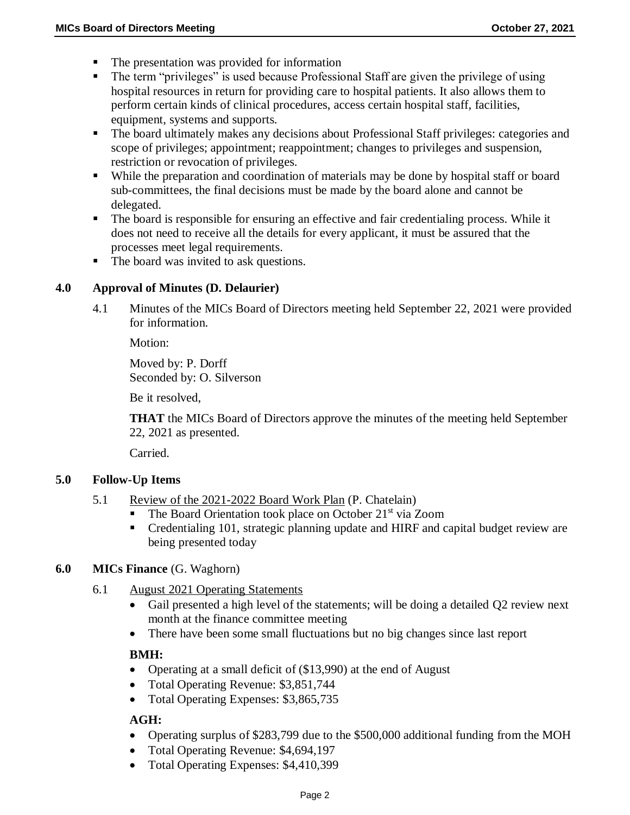- The presentation was provided for information
- The term "privileges" is used because Professional Staff are given the privilege of using hospital resources in return for providing care to hospital patients. It also allows them to perform certain kinds of clinical procedures, access certain hospital staff, facilities, equipment, systems and supports.
- The board ultimately makes any decisions about Professional Staff privileges: categories and scope of privileges; appointment; reappointment; changes to privileges and suspension, restriction or revocation of privileges.
- While the preparation and coordination of materials may be done by hospital staff or board sub-committees, the final decisions must be made by the board alone and cannot be delegated.
- The board is responsible for ensuring an effective and fair credentialing process. While it does not need to receive all the details for every applicant, it must be assured that the processes meet legal requirements.
- The board was invited to ask questions.

### **4.0 Approval of Minutes (D. Delaurier)**

4.1 Minutes of the MICs Board of Directors meeting held September 22, 2021 were provided for information.

Motion:

Moved by: P. Dorff Seconded by: O. Silverson

Be it resolved,

**THAT** the MICs Board of Directors approve the minutes of the meeting held September 22, 2021 as presented.

Carried.

#### **5.0 Follow-Up Items**

- 5.1 Review of the 2021-2022 Board Work Plan (P. Chatelain)
	- The Board Orientation took place on October 21<sup>st</sup> via Zoom
	- Credentialing 101, strategic planning update and HIRF and capital budget review are being presented today

#### **6.0 MICs Finance** (G. Waghorn)

- 6.1 August 2021 Operating Statements
	- Gail presented a high level of the statements; will be doing a detailed Q2 review next month at the finance committee meeting
	- There have been some small fluctuations but no big changes since last report

#### **BMH:**

- Operating at a small deficit of (\$13,990) at the end of August
- Total Operating Revenue: \$3,851,744
- Total Operating Expenses: \$3,865,735

#### **AGH:**

- Operating surplus of \$283,799 due to the \$500,000 additional funding from the MOH
- Total Operating Revenue: \$4,694,197
- Total Operating Expenses: \$4,410,399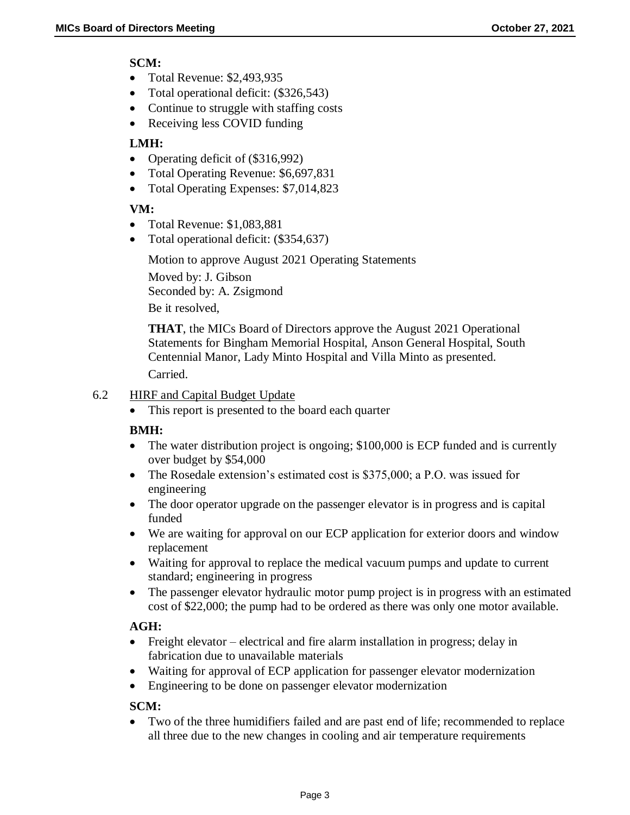### **SCM:**

- Total Revenue: \$2,493,935
- Total operational deficit: (\$326,543)
- Continue to struggle with staffing costs
- Receiving less COVID funding

## **LMH:**

- Operating deficit of (\$316,992)
- Total Operating Revenue: \$6,697,831
- Total Operating Expenses: \$7,014,823

## **VM:**

- Total Revenue: \$1,083,881
- Total operational deficit: (\$354,637)

Motion to approve August 2021 Operating Statements Moved by: J. Gibson Seconded by: A. Zsigmond Be it resolved,

**THAT**, the MICs Board of Directors approve the August 2021 Operational Statements for Bingham Memorial Hospital, Anson General Hospital, South Centennial Manor, Lady Minto Hospital and Villa Minto as presented. Carried.

### 6.2 HIRF and Capital Budget Update

• This report is presented to the board each quarter

### **BMH:**

- The water distribution project is ongoing; \$100,000 is ECP funded and is currently over budget by \$54,000
- The Rosedale extension's estimated cost is \$375,000; a P.O. was issued for engineering
- The door operator upgrade on the passenger elevator is in progress and is capital funded
- We are waiting for approval on our ECP application for exterior doors and window replacement
- Waiting for approval to replace the medical vacuum pumps and update to current standard; engineering in progress
- The passenger elevator hydraulic motor pump project is in progress with an estimated cost of \$22,000; the pump had to be ordered as there was only one motor available.

### **AGH:**

- Freight elevator electrical and fire alarm installation in progress; delay in fabrication due to unavailable materials
- Waiting for approval of ECP application for passenger elevator modernization
- Engineering to be done on passenger elevator modernization

### **SCM:**

 Two of the three humidifiers failed and are past end of life; recommended to replace all three due to the new changes in cooling and air temperature requirements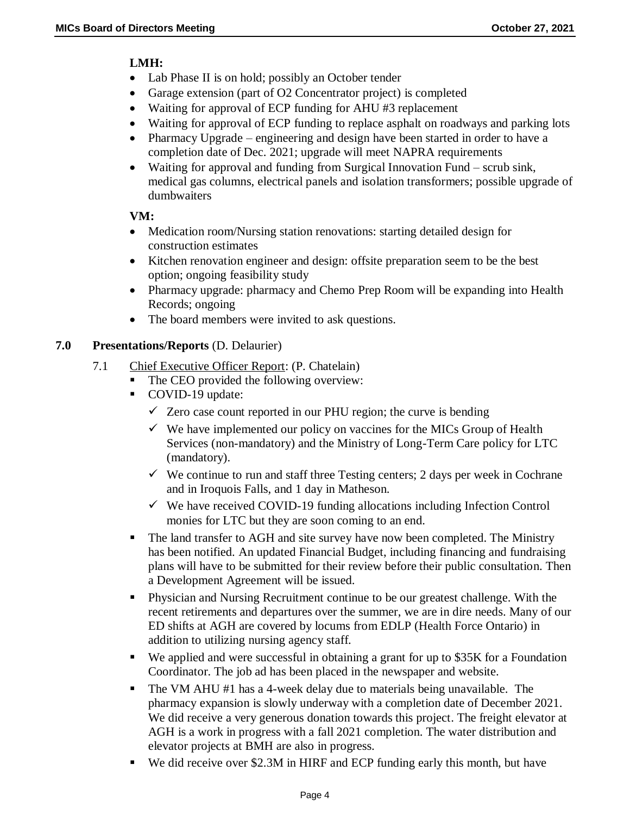#### **LMH:**

- Lab Phase II is on hold; possibly an October tender
- Garage extension (part of O2 Concentrator project) is completed
- Waiting for approval of ECP funding for AHU #3 replacement
- Waiting for approval of ECP funding to replace asphalt on roadways and parking lots
- Pharmacy Upgrade engineering and design have been started in order to have a completion date of Dec. 2021; upgrade will meet NAPRA requirements
- Waiting for approval and funding from Surgical Innovation Fund scrub sink, medical gas columns, electrical panels and isolation transformers; possible upgrade of dumbwaiters

### **VM:**

- Medication room/Nursing station renovations: starting detailed design for construction estimates
- Kitchen renovation engineer and design: offsite preparation seem to be the best option; ongoing feasibility study
- Pharmacy upgrade: pharmacy and Chemo Prep Room will be expanding into Health Records; ongoing
- The board members were invited to ask questions.

### **7.0 Presentations/Reports** (D. Delaurier)

- 7.1 Chief Executive Officer Report: (P. Chatelain)
	- The CEO provided the following overview:
	- COVID-19 update:
		- $\checkmark$  Zero case count reported in our PHU region; the curve is bending
		- $\checkmark$  We have implemented our policy on vaccines for the MICs Group of Health Services (non-mandatory) and the Ministry of Long-Term Care policy for LTC (mandatory).
		- $\checkmark$  We continue to run and staff three Testing centers; 2 days per week in Cochrane and in Iroquois Falls, and 1 day in Matheson.
		- $\checkmark$  We have received COVID-19 funding allocations including Infection Control monies for LTC but they are soon coming to an end.
	- The land transfer to AGH and site survey have now been completed. The Ministry has been notified. An updated Financial Budget, including financing and fundraising plans will have to be submitted for their review before their public consultation. Then a Development Agreement will be issued.
	- Physician and Nursing Recruitment continue to be our greatest challenge. With the recent retirements and departures over the summer, we are in dire needs. Many of our ED shifts at AGH are covered by locums from EDLP (Health Force Ontario) in addition to utilizing nursing agency staff.
	- We applied and were successful in obtaining a grant for up to \$35K for a Foundation Coordinator. The job ad has been placed in the newspaper and website.
	- The VM AHU #1 has a 4-week delay due to materials being unavailable. The pharmacy expansion is slowly underway with a completion date of December 2021. We did receive a very generous donation towards this project. The freight elevator at AGH is a work in progress with a fall 2021 completion. The water distribution and elevator projects at BMH are also in progress.
	- We did receive over \$2.3M in HIRF and ECP funding early this month, but have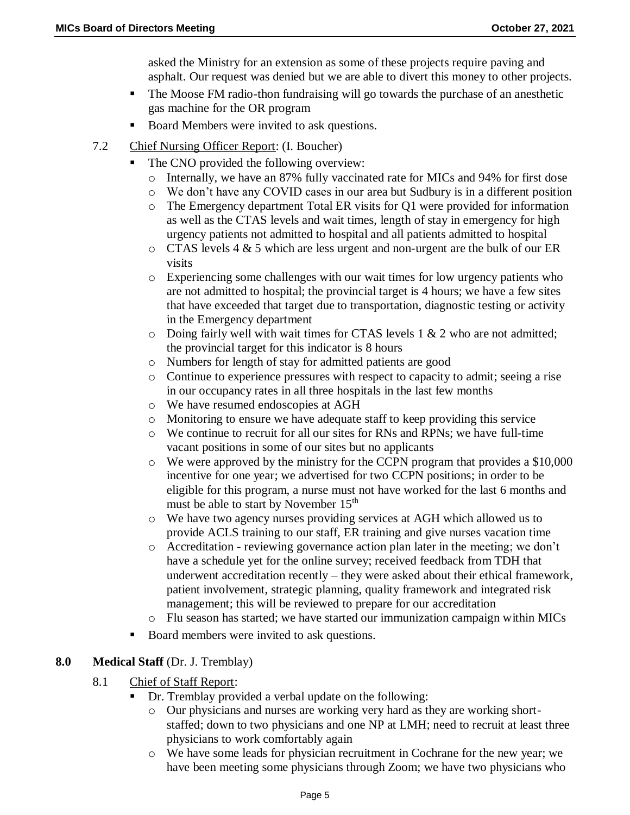asked the Ministry for an extension as some of these projects require paving and asphalt. Our request was denied but we are able to divert this money to other projects.

- The Moose FM radio-thon fundraising will go towards the purchase of an anesthetic gas machine for the OR program
- Board Members were invited to ask questions.
- 7.2 Chief Nursing Officer Report: (I. Boucher)
	- The CNO provided the following overview:
		- o Internally, we have an 87% fully vaccinated rate for MICs and 94% for first dose
		- o We don't have any COVID cases in our area but Sudbury is in a different position
		- o The Emergency department Total ER visits for Q1 were provided for information as well as the CTAS levels and wait times, length of stay in emergency for high urgency patients not admitted to hospital and all patients admitted to hospital
		- o CTAS levels 4 & 5 which are less urgent and non-urgent are the bulk of our ER visits
		- o Experiencing some challenges with our wait times for low urgency patients who are not admitted to hospital; the provincial target is 4 hours; we have a few sites that have exceeded that target due to transportation, diagnostic testing or activity in the Emergency department
		- $\circ$  Doing fairly well with wait times for CTAS levels 1 & 2 who are not admitted; the provincial target for this indicator is 8 hours
		- o Numbers for length of stay for admitted patients are good
		- o Continue to experience pressures with respect to capacity to admit; seeing a rise in our occupancy rates in all three hospitals in the last few months
		- o We have resumed endoscopies at AGH
		- o Monitoring to ensure we have adequate staff to keep providing this service
		- o We continue to recruit for all our sites for RNs and RPNs; we have full-time vacant positions in some of our sites but no applicants
		- o We were approved by the ministry for the CCPN program that provides a \$10,000 incentive for one year; we advertised for two CCPN positions; in order to be eligible for this program, a nurse must not have worked for the last 6 months and must be able to start by November 15<sup>th</sup>
		- o We have two agency nurses providing services at AGH which allowed us to provide ACLS training to our staff, ER training and give nurses vacation time
		- $\circ$  Accreditation reviewing governance action plan later in the meeting; we don't have a schedule yet for the online survey; received feedback from TDH that underwent accreditation recently – they were asked about their ethical framework, patient involvement, strategic planning, quality framework and integrated risk management; this will be reviewed to prepare for our accreditation
		- Flu season has started; we have started our immunization campaign within MICs
	- Board members were invited to ask questions.

### **8.0 Medical Staff** (Dr. J. Tremblay)

- 8.1 Chief of Staff Report:
	- Dr. Tremblay provided a verbal update on the following:
		- o Our physicians and nurses are working very hard as they are working shortstaffed; down to two physicians and one NP at LMH; need to recruit at least three physicians to work comfortably again
		- o We have some leads for physician recruitment in Cochrane for the new year; we have been meeting some physicians through Zoom; we have two physicians who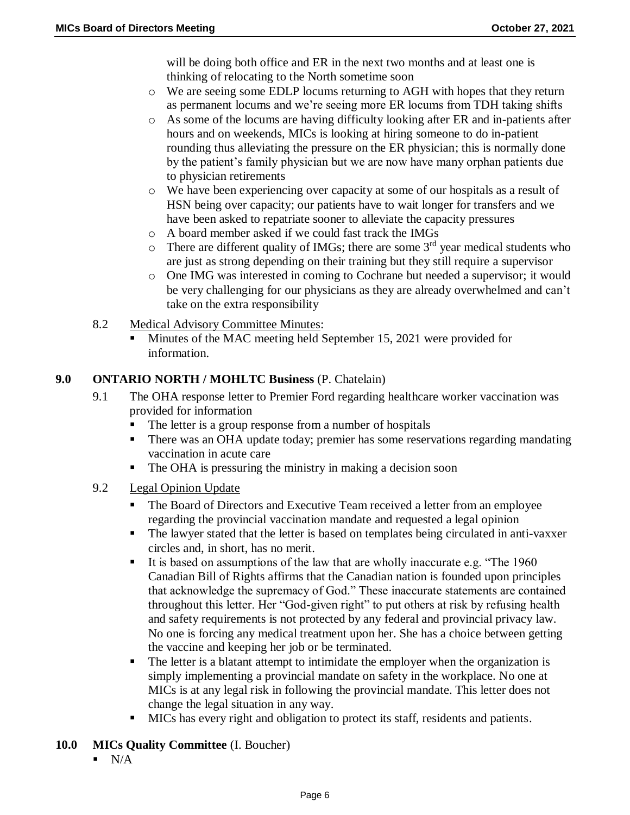will be doing both office and ER in the next two months and at least one is thinking of relocating to the North sometime soon

- o We are seeing some EDLP locums returning to AGH with hopes that they return as permanent locums and we're seeing more ER locums from TDH taking shifts
- o As some of the locums are having difficulty looking after ER and in-patients after hours and on weekends, MICs is looking at hiring someone to do in-patient rounding thus alleviating the pressure on the ER physician; this is normally done by the patient's family physician but we are now have many orphan patients due to physician retirements
- o We have been experiencing over capacity at some of our hospitals as a result of HSN being over capacity; our patients have to wait longer for transfers and we have been asked to repatriate sooner to alleviate the capacity pressures
- o A board member asked if we could fast track the IMGs
- $\circ$  There are different quality of IMGs; there are some 3<sup>rd</sup> year medical students who are just as strong depending on their training but they still require a supervisor
- o One IMG was interested in coming to Cochrane but needed a supervisor; it would be very challenging for our physicians as they are already overwhelmed and can't take on the extra responsibility
- 8.2 Medical Advisory Committee Minutes:
	- Minutes of the MAC meeting held September 15, 2021 were provided for information.

### **9.0 ONTARIO NORTH / MOHLTC Business** (P. Chatelain)

- 9.1 The OHA response letter to Premier Ford regarding healthcare worker vaccination was provided for information
	- The letter is a group response from a number of hospitals
	- There was an OHA update today; premier has some reservations regarding mandating vaccination in acute care
	- The OHA is pressuring the ministry in making a decision soon
- 9.2 Legal Opinion Update
	- The Board of Directors and Executive Team received a letter from an employee regarding the provincial vaccination mandate and requested a legal opinion
	- The lawyer stated that the letter is based on templates being circulated in anti-vaxxer circles and, in short, has no merit.
	- It is based on assumptions of the law that are wholly inaccurate e.g. "The 1960" Canadian Bill of Rights affirms that the Canadian nation is founded upon principles that acknowledge the supremacy of God." These inaccurate statements are contained throughout this letter. Her "God-given right" to put others at risk by refusing health and safety requirements is not protected by any federal and provincial privacy law. No one is forcing any medical treatment upon her. She has a choice between getting the vaccine and keeping her job or be terminated.
	- The letter is a blatant attempt to intimidate the employer when the organization is simply implementing a provincial mandate on safety in the workplace. No one at MICs is at any legal risk in following the provincial mandate. This letter does not change the legal situation in any way.
	- **MICs** has every right and obligation to protect its staff, residents and patients.
- **10.0 MICs Quality Committee** (I. Boucher)
	- $\blacksquare$  N/A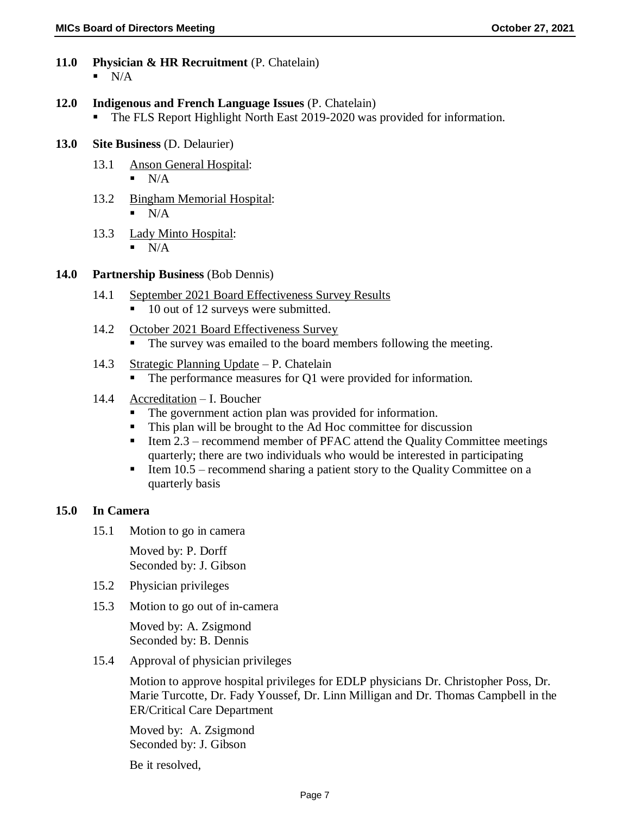- **11.0 Physician & HR Recruitment** (P. Chatelain)  $\blacksquare$  N/A
- **12.0 Indigenous and French Language Issues** (P. Chatelain)
	- The FLS Report Highlight North East 2019-2020 was provided for information.
- **13.0 Site Business** (D. Delaurier)
	- 13.1 Anson General Hospital:  $N/A$
	- 13.2 Bingham Memorial Hospital:  $\blacksquare$  N/A
	- 13.3 Lady Minto Hospital:  $N/A$

#### **14.0 Partnership Business** (Bob Dennis)

- 14.1 September 2021 Board Effectiveness Survey Results
	- 10 out of 12 surveys were submitted.
- 14.2 October 2021 Board Effectiveness Survey
	- The survey was emailed to the board members following the meeting.
- 14.3 Strategic Planning Update P. Chatelain
	- The performance measures for Q1 were provided for information.
- 14.4 Accreditation I. Boucher
	- The government action plan was provided for information.
	- This plan will be brought to the Ad Hoc committee for discussion
	- Item  $2.3$  recommend member of PFAC attend the Quality Committee meetings quarterly; there are two individuals who would be interested in participating
	- Item  $10.5$  recommend sharing a patient story to the Quality Committee on a quarterly basis

#### **15.0 In Camera**

15.1 Motion to go in camera

Moved by: P. Dorff Seconded by: J. Gibson

- 15.2 Physician privileges
- 15.3 Motion to go out of in-camera

Moved by: A. Zsigmond Seconded by: B. Dennis

15.4 Approval of physician privileges

Motion to approve hospital privileges for EDLP physicians Dr. Christopher Poss, Dr. Marie Turcotte, Dr. Fady Youssef, Dr. Linn Milligan and Dr. Thomas Campbell in the ER/Critical Care Department

Moved by: A. Zsigmond Seconded by: J. Gibson

Be it resolved,